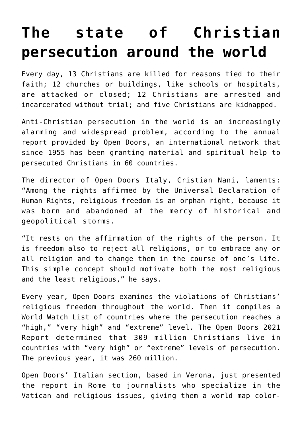## **[The state of Christian](https://www.osvnews.com/2021/02/02/the-state-of-christian-persecution-around-the-world/) [persecution around the world](https://www.osvnews.com/2021/02/02/the-state-of-christian-persecution-around-the-world/)**

Every day, 13 Christians are killed for reasons tied to their faith; 12 churches or buildings, like schools or hospitals, are attacked or closed; 12 Christians are arrested and incarcerated without trial; and five Christians are kidnapped.

Anti-Christian persecution in the world is an increasingly alarming and widespread problem, according to the annual report provided by Open Doors, an international network that since 1955 has been granting material and spiritual help to persecuted Christians in 60 countries.

The director of Open Doors Italy, Cristian Nani, laments: "Among the rights affirmed by the Universal Declaration of Human Rights, religious freedom is an orphan right, because it was born and abandoned at the mercy of historical and geopolitical storms.

"It rests on the affirmation of the rights of the person. It is freedom also to reject all religions, or to embrace any or all religion and to change them in the course of one's life. This simple concept should motivate both the most religious and the least religious," he says.

Every year, Open Doors examines the violations of Christians' religious freedom throughout the world. Then it compiles a World Watch List of countries where the persecution reaches a "high," "very high" and "extreme" level. The Open Doors 2021 Report determined that 309 million Christians live in countries with "very high" or "extreme" levels of persecution. The previous year, it was 260 million.

Open Doors' Italian section, based in Verona, just presented the report in Rome to journalists who specialize in the Vatican and religious issues, giving them a world map color-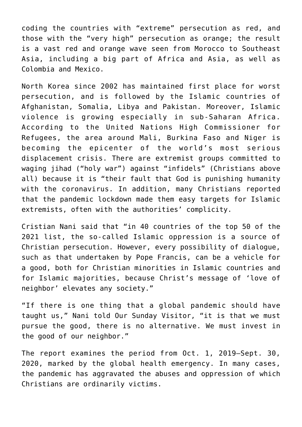coding the countries with "extreme" persecution as red, and those with the "very high" persecution as orange; the result is a vast red and orange wave seen from Morocco to Southeast Asia, including a big part of Africa and Asia, as well as Colombia and Mexico.

North Korea since 2002 has maintained first place for worst persecution, and is followed by the Islamic countries of Afghanistan, Somalia, Libya and Pakistan. Moreover, Islamic violence is growing especially in sub-Saharan Africa. According to the United Nations High Commissioner for Refugees, the area around Mali, Burkina Faso and Niger is becoming the epicenter of the world's most serious displacement crisis. There are extremist groups committed to waging jihad ("holy war") against "infidels" (Christians above all) because it is "their fault that God is punishing humanity with the coronavirus. In addition, many Christians reported that the pandemic lockdown made them easy targets for Islamic extremists, often with the authorities' complicity.

Cristian Nani said that "in 40 countries of the top 50 of the 2021 list, the so-called Islamic oppression is a source of Christian persecution. However, every possibility of dialogue, such as that undertaken by Pope Francis, can be a vehicle for a good, both for Christian minorities in Islamic countries and for Islamic majorities, because Christ's message of 'love of neighbor' elevates any society."

"If there is one thing that a global pandemic should have taught us," Nani told Our Sunday Visitor, "it is that we must pursue the good, there is no alternative. We must invest in the good of our neighbor."

The report examines the period from Oct. 1, 2019–Sept. 30, 2020, marked by the global health emergency. In many cases, the pandemic has aggravated the abuses and oppression of which Christians are ordinarily victims.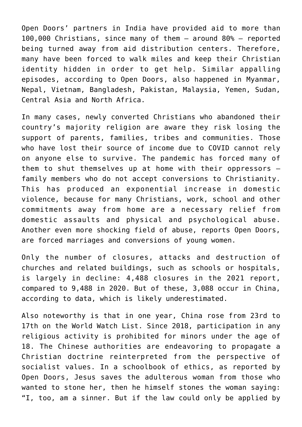Open Doors' partners in India have provided aid to more than 100,000 Christians, since many of them — around 80% — reported being turned away from aid distribution centers. Therefore, many have been forced to walk miles and keep their Christian identity hidden in order to get help. Similar appalling episodes, according to Open Doors, also happened in Myanmar, Nepal, Vietnam, Bangladesh, Pakistan, Malaysia, Yemen, Sudan, Central Asia and North Africa.

In many cases, newly converted Christians who abandoned their country's majority religion are aware they risk losing the support of parents, families, tribes and communities. Those who have lost their source of income due to COVID cannot rely on anyone else to survive. The pandemic has forced many of them to shut themselves up at home with their oppressors family members who do not accept conversions to Christianity. This has produced an exponential increase in domestic violence, because for many Christians, work, school and other commitments away from home are a necessary relief from domestic assaults and physical and psychological abuse. Another even more shocking field of abuse, reports Open Doors, are forced marriages and conversions of young women.

Only the number of closures, attacks and destruction of churches and related buildings, such as schools or hospitals, is largely in decline: 4,488 closures in the 2021 report, compared to 9,488 in 2020. But of these, 3,088 occur in China, according to data, which is likely underestimated.

Also noteworthy is that in one year, China rose from 23rd to 17th on the World Watch List. Since 2018, participation in any religious activity is prohibited for minors under the age of 18. The Chinese authorities are endeavoring to propagate a Christian doctrine reinterpreted from the perspective of socialist values. In a schoolbook of ethics, as reported by Open Doors, Jesus saves the adulterous woman from those who wanted to stone her, then he himself stones the woman saying: "I, too, am a sinner. But if the law could only be applied by